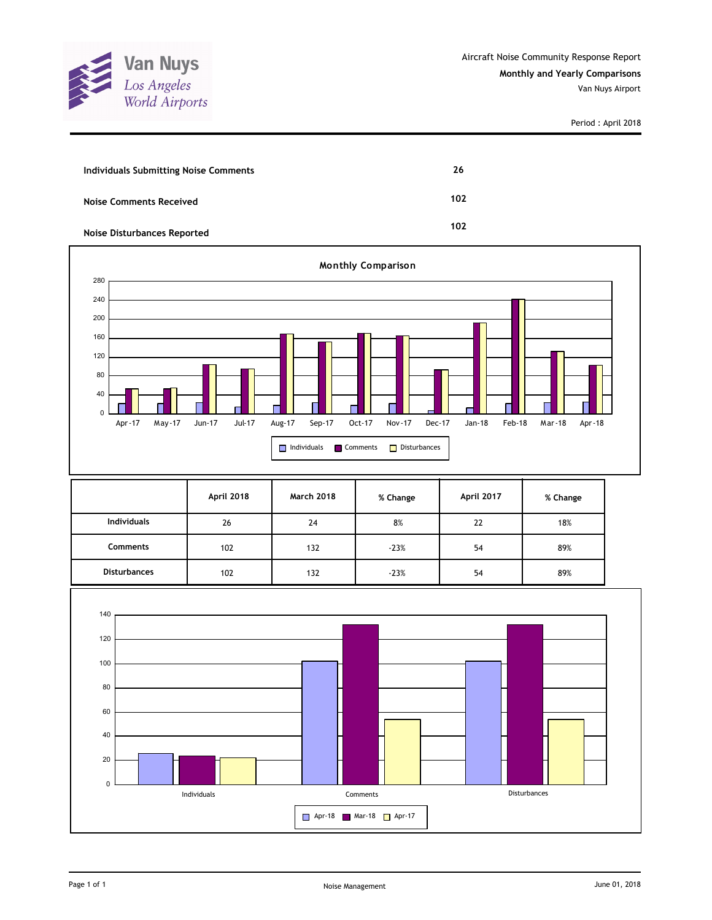

Period : April 2018

| <b>Individuals Submitting Noise Comments</b> | 26  |
|----------------------------------------------|-----|
| <b>Noise Comments Received</b>               | 102 |
| <b>Noise Disturbances Reported</b>           | 102 |



|                     | April 2018 | <b>March 2018</b> | % Change | April 2017 | % Change |
|---------------------|------------|-------------------|----------|------------|----------|
| <b>Individuals</b>  | 26         | 24                | 8%       | 22         | 18%      |
| Comments            | 102        | 132               | $-23%$   | 54         | 89%      |
| <b>Disturbances</b> | 102        | 132               | $-23%$   | 54         | 89%      |

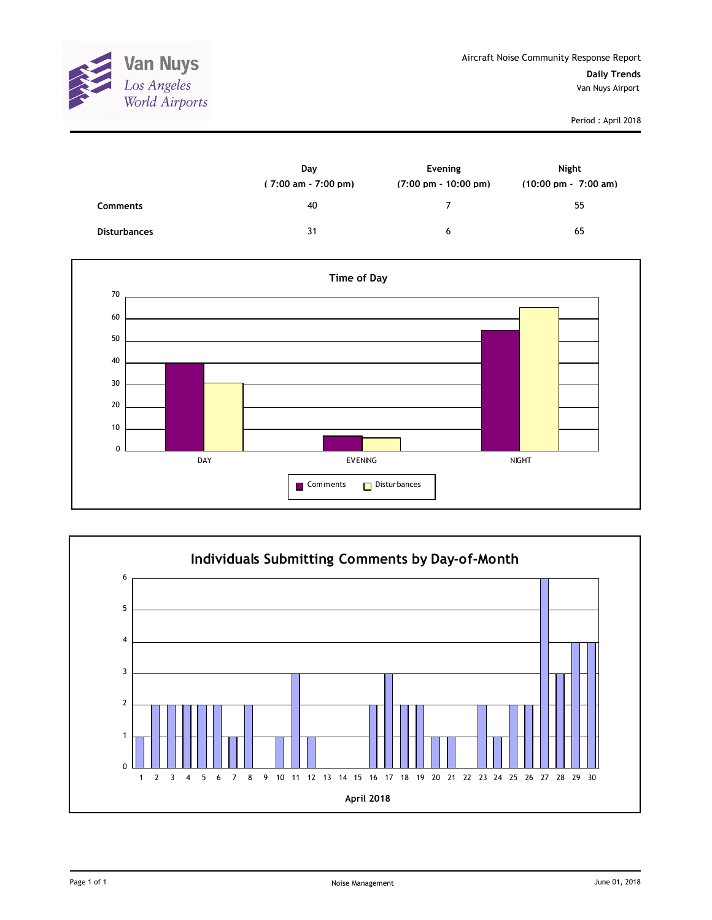

Period : April 2018

|                     | Day<br>$(7:00 \text{ am} - 7:00 \text{ pm})$ | Evening<br>$(7:00 \text{ pm} - 10:00 \text{ pm})$ | Night<br>$(10:00 \text{ pm} - 7:00 \text{ am})$ |
|---------------------|----------------------------------------------|---------------------------------------------------|-------------------------------------------------|
| <b>Comments</b>     | 40                                           | 7                                                 | 55                                              |
| <b>Disturbances</b> | 31                                           | 6                                                 | 65                                              |



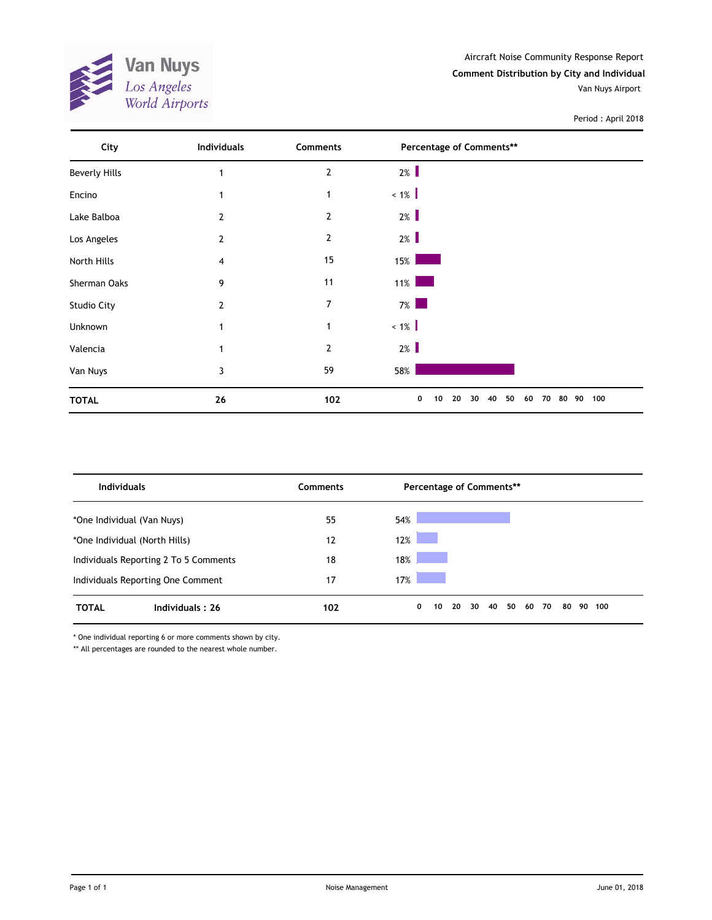

Period : April 2018

| City                 | <b>Individuals</b> | Comments       | Percentage of Comments**                    |           |
|----------------------|--------------------|----------------|---------------------------------------------|-----------|
| <b>Beverly Hills</b> | 1                  | $\overline{2}$ | $2\%$                                       |           |
| Encino               | 1                  | $\mathbf 1$    | $\langle 1\% \rangle$                       |           |
| Lake Balboa          | $\overline{2}$     | $\overline{2}$ | $2\%$                                       |           |
| Los Angeles          | $\overline{2}$     | $\overline{2}$ | $2\%$                                       |           |
| North Hills          | 4                  | 15             | 15%                                         |           |
| Sherman Oaks         | 9                  | 11             | $11\%$                                      |           |
| Studio City          | $\overline{2}$     | $\overline{7}$ | $7\%$<br><b>Service Service</b>             |           |
| Unknown              | 1                  | $\mathbf 1$    | $\langle 1\% \rangle$                       |           |
| Valencia             | 1                  | $\overline{2}$ | $2\%$                                       |           |
| Van Nuys             | 3                  | 59             | 58%                                         |           |
| <b>TOTAL</b>         | 26                 | 102            | 50<br>0<br>20<br>30<br>40<br>60<br>70<br>10 | 80 90 100 |

| <b>Individuals</b>                    |                 | Comments |     |   |    |    |    |    | Percentage of Comments** |    |    |    |        |  |
|---------------------------------------|-----------------|----------|-----|---|----|----|----|----|--------------------------|----|----|----|--------|--|
| *One Individual (Van Nuys)            |                 | 55       | 54% |   |    |    |    |    |                          |    |    |    |        |  |
| *One Individual (North Hills)         |                 | 12       | 12% |   |    |    |    |    |                          |    |    |    |        |  |
| Individuals Reporting 2 To 5 Comments |                 | 18       | 18% |   |    |    |    |    |                          |    |    |    |        |  |
| Individuals Reporting One Comment     |                 | 17       | 17% |   |    |    |    |    |                          |    |    |    |        |  |
| <b>TOTAL</b>                          | Individuals: 26 | 102      |     | 0 | 10 | 20 | 30 | 40 | 50                       | 60 | 70 | 80 | 90 100 |  |

\* One individual reporting 6 or more comments shown by city.

\*\* All percentages are rounded to the nearest whole number.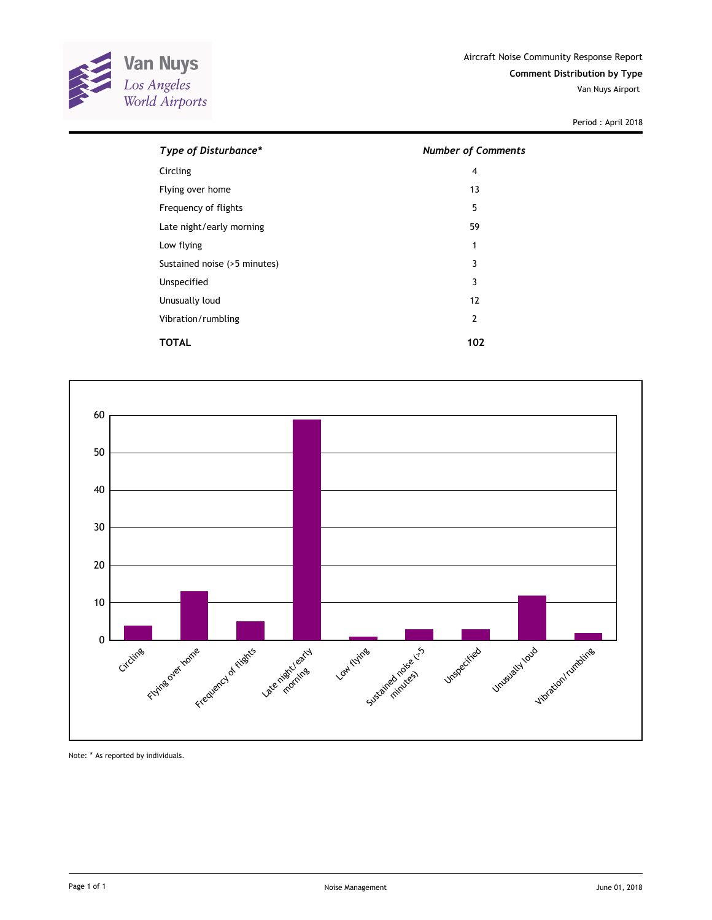

Van Nuys Airport

Period : April 2018

| Type of Disturbance*         | <b>Number of Comments</b> |
|------------------------------|---------------------------|
| Circling                     | 4                         |
| Flying over home             | 13                        |
| Frequency of flights         | 5                         |
| Late night/early morning     | 59                        |
| Low flying                   | 1                         |
| Sustained noise (>5 minutes) | 3                         |
| Unspecified                  | 3                         |
| Unusually loud               | 12                        |
| Vibration/rumbling           | $\overline{2}$            |
| TOTAL                        | 102                       |



Note: \* As reported by individuals.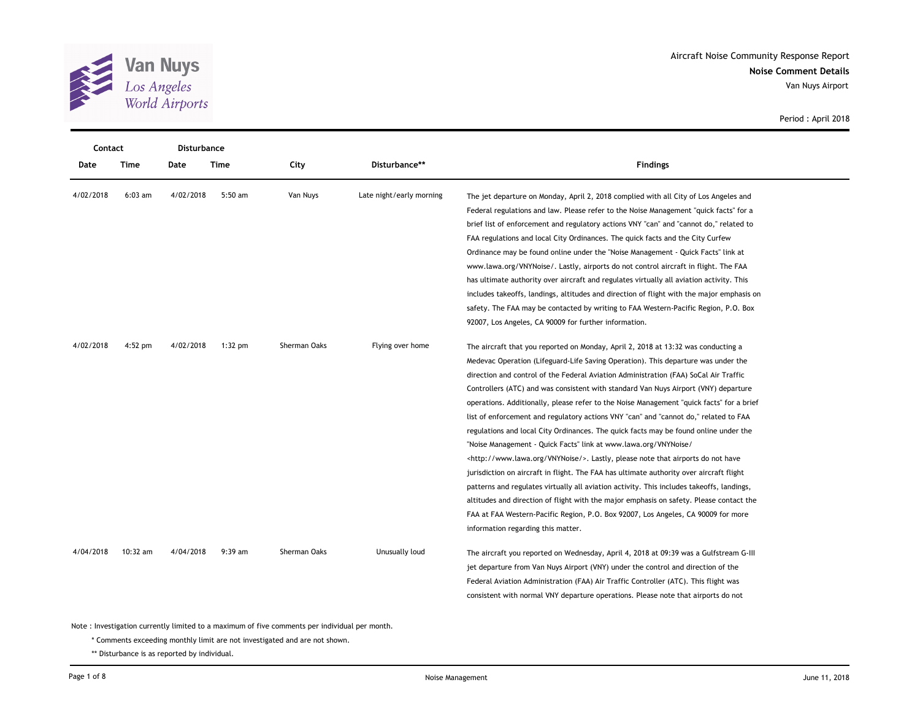

| Contact   |           | Disturbance |           |              |                          |                                                                                             |
|-----------|-----------|-------------|-----------|--------------|--------------------------|---------------------------------------------------------------------------------------------|
| Date      | Time      | Date        | Time      | City         | Disturbance**            | <b>Findings</b>                                                                             |
| 4/02/2018 | $6:03$ am | 4/02/2018   | 5:50 am   | Van Nuys     | Late night/early morning | The jet departure on Monday, April 2, 2018 complied with all City of Los Angeles and        |
|           |           |             |           |              |                          | Federal regulations and law. Please refer to the Noise Management "quick facts" for a       |
|           |           |             |           |              |                          | brief list of enforcement and regulatory actions VNY "can" and "cannot do," related to      |
|           |           |             |           |              |                          | FAA regulations and local City Ordinances. The quick facts and the City Curfew              |
|           |           |             |           |              |                          | Ordinance may be found online under the "Noise Management - Quick Facts" link at            |
|           |           |             |           |              |                          | www.lawa.org/VNYNoise/. Lastly, airports do not control aircraft in flight. The FAA         |
|           |           |             |           |              |                          | has ultimate authority over aircraft and regulates virtually all aviation activity. This    |
|           |           |             |           |              |                          | includes takeoffs, landings, altitudes and direction of flight with the major emphasis on   |
|           |           |             |           |              |                          | safety. The FAA may be contacted by writing to FAA Western-Pacific Region, P.O. Box         |
|           |           |             |           |              |                          | 92007, Los Angeles, CA 90009 for further information.                                       |
| 4/02/2018 | $4:52$ pm | 4/02/2018   | $1:32$ pm | Sherman Oaks | Flying over home         | The aircraft that you reported on Monday, April 2, 2018 at 13:32 was conducting a           |
|           |           |             |           |              |                          | Medevac Operation (Lifeguard-Life Saving Operation). This departure was under the           |
|           |           |             |           |              |                          | direction and control of the Federal Aviation Administration (FAA) SoCal Air Traffic        |
|           |           |             |           |              |                          | Controllers (ATC) and was consistent with standard Van Nuys Airport (VNY) departure         |
|           |           |             |           |              |                          | operations. Additionally, please refer to the Noise Management "quick facts" for a brief    |
|           |           |             |           |              |                          | list of enforcement and regulatory actions VNY "can" and "cannot do," related to FAA        |
|           |           |             |           |              |                          | regulations and local City Ordinances. The quick facts may be found online under the        |
|           |           |             |           |              |                          | "Noise Management - Quick Facts" link at www.lawa.org/VNYNoise/                             |
|           |           |             |           |              |                          | <http: vnynoise="" www.lawa.org=""></http:> . Lastly, please note that airports do not have |
|           |           |             |           |              |                          | jurisdiction on aircraft in flight. The FAA has ultimate authority over aircraft flight     |
|           |           |             |           |              |                          | patterns and regulates virtually all aviation activity. This includes takeoffs, landings,   |
|           |           |             |           |              |                          | altitudes and direction of flight with the major emphasis on safety. Please contact the     |
|           |           |             |           |              |                          | FAA at FAA Western-Pacific Region, P.O. Box 92007, Los Angeles, CA 90009 for more           |
|           |           |             |           |              |                          | information regarding this matter.                                                          |
| 4/04/2018 | 10:32 am  | 4/04/2018   | $9:39$ am | Sherman Oaks | Unusually loud           | The aircraft you reported on Wednesday, April 4, 2018 at 09:39 was a Gulfstream G-III       |
|           |           |             |           |              |                          | jet departure from Van Nuys Airport (VNY) under the control and direction of the            |
|           |           |             |           |              |                          | Federal Aviation Administration (FAA) Air Traffic Controller (ATC). This flight was         |
|           |           |             |           |              |                          | consistent with normal VNY departure operations. Please note that airports do not           |

\* Comments exceeding monthly limit are not investigated and are not shown.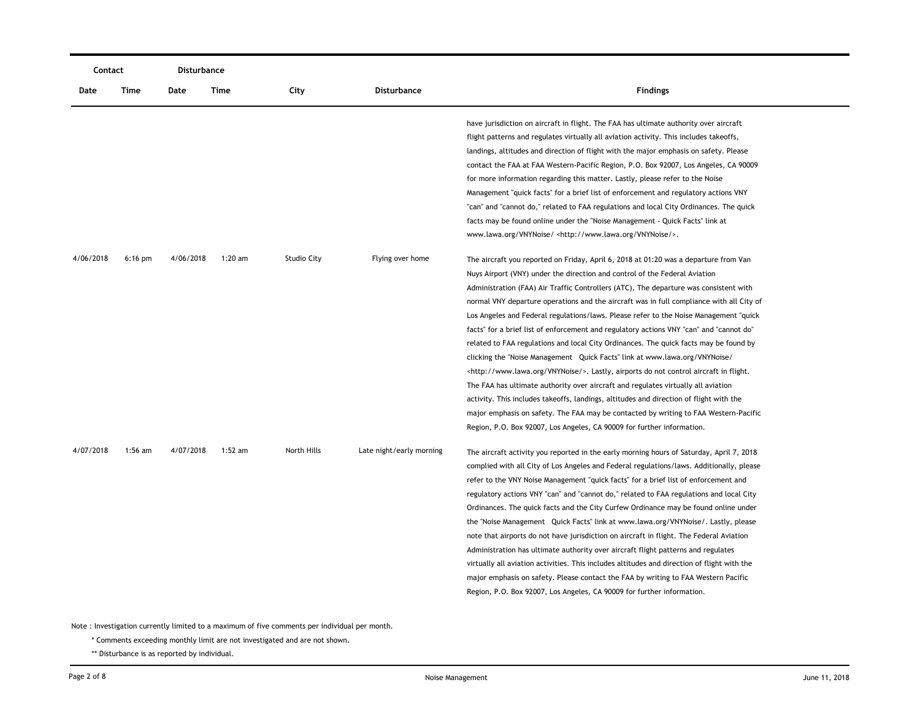| Contact   |           | Disturbance |           |                    |                          |                                                                                                                                                                                                                                                                                                                                                                                                                                                                                                                                                                                                                                                                                                                                                                                                                                                                                                                                                                                                                                                                                                                                                                          |
|-----------|-----------|-------------|-----------|--------------------|--------------------------|--------------------------------------------------------------------------------------------------------------------------------------------------------------------------------------------------------------------------------------------------------------------------------------------------------------------------------------------------------------------------------------------------------------------------------------------------------------------------------------------------------------------------------------------------------------------------------------------------------------------------------------------------------------------------------------------------------------------------------------------------------------------------------------------------------------------------------------------------------------------------------------------------------------------------------------------------------------------------------------------------------------------------------------------------------------------------------------------------------------------------------------------------------------------------|
| Date      | Time      | Date        | Time      | City               | <b>Disturbance</b>       | <b>Findings</b>                                                                                                                                                                                                                                                                                                                                                                                                                                                                                                                                                                                                                                                                                                                                                                                                                                                                                                                                                                                                                                                                                                                                                          |
|           |           |             |           |                    |                          | have jurisdiction on aircraft in flight. The FAA has ultimate authority over aircraft<br>flight patterns and regulates virtually all aviation activity. This includes takeoffs,<br>landings, altitudes and direction of flight with the major emphasis on safety. Please<br>contact the FAA at FAA Western-Pacific Region, P.O. Box 92007, Los Angeles, CA 90009<br>for more information regarding this matter. Lastly, please refer to the Noise<br>Management "quick facts" for a brief list of enforcement and regulatory actions VNY<br>"can" and "cannot do," related to FAA regulations and local City Ordinances. The quick<br>facts may be found online under the "Noise Management - Quick Facts" link at<br>www.lawa.org/VNYNoise/ <http: vnynoise="" www.lawa.org=""></http:> .                                                                                                                                                                                                                                                                                                                                                                               |
| 4/06/2018 | $6:16$ pm | 4/06/2018   | $1:20$ am | <b>Studio City</b> | Flying over home         | The aircraft you reported on Friday, April 6, 2018 at 01:20 was a departure from Van<br>Nuys Airport (VNY) under the direction and control of the Federal Aviation<br>Administration (FAA) Air Traffic Controllers (ATC). The departure was consistent with<br>normal VNY departure operations and the aircraft was in full compliance with all City of<br>Los Angeles and Federal regulations/laws. Please refer to the Noise Management "quick<br>facts" for a brief list of enforcement and regulatory actions VNY "can" and "cannot do"<br>related to FAA regulations and local City Ordinances. The quick facts may be found by<br>clicking the "Noise Management Quick Facts" link at www.lawa.org/VNYNoise/<br><http: vnynoise="" www.lawa.org=""></http:> . Lastly, airports do not control aircraft in flight.<br>The FAA has ultimate authority over aircraft and regulates virtually all aviation<br>activity. This includes takeoffs, landings, altitudes and direction of flight with the<br>major emphasis on safety. The FAA may be contacted by writing to FAA Western-Pacific<br>Region, P.O. Box 92007, Los Angeles, CA 90009 for further information. |
| 4/07/2018 | $1:56$ am | 4/07/2018   | $1:52$ am | North Hills        | Late night/early morning | The aircraft activity you reported in the early morning hours of Saturday, April 7, 2018<br>complied with all City of Los Angeles and Federal regulations/laws. Additionally, please<br>refer to the VNY Noise Management "quick facts" for a brief list of enforcement and<br>regulatory actions VNY "can" and "cannot do," related to FAA regulations and local City<br>Ordinances. The quick facts and the City Curfew Ordinance may be found online under<br>the "Noise Management Quick Facts" link at www.lawa.org/VNYNoise/. Lastly, please<br>note that airports do not have jurisdiction on aircraft in flight. The Federal Aviation<br>Administration has ultimate authority over aircraft flight patterns and regulates<br>virtually all aviation activities. This includes altitudes and direction of flight with the<br>major emphasis on safety. Please contact the FAA by writing to FAA Western Pacific<br>Region, P.O. Box 92007, Los Angeles, CA 90009 for further information.                                                                                                                                                                        |

\* Comments exceeding monthly limit are not investigated and are not shown.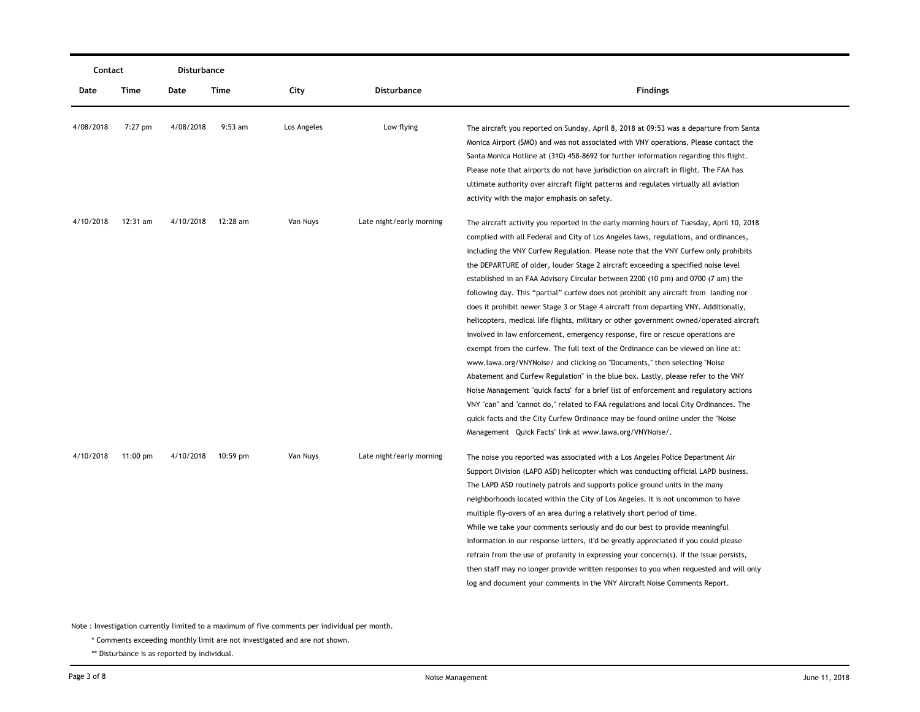|           | Contact            |           | Disturbance        |             |                          |                                                                                                                                                                                                                                                                                                                                                                                                                                                                                                                                                                                                                                                                                                                                                                                                                                                                                                                                                                                                                                                                                                                                                                                                                                                                                                                                                                                                    |
|-----------|--------------------|-----------|--------------------|-------------|--------------------------|----------------------------------------------------------------------------------------------------------------------------------------------------------------------------------------------------------------------------------------------------------------------------------------------------------------------------------------------------------------------------------------------------------------------------------------------------------------------------------------------------------------------------------------------------------------------------------------------------------------------------------------------------------------------------------------------------------------------------------------------------------------------------------------------------------------------------------------------------------------------------------------------------------------------------------------------------------------------------------------------------------------------------------------------------------------------------------------------------------------------------------------------------------------------------------------------------------------------------------------------------------------------------------------------------------------------------------------------------------------------------------------------------|
| Date      | Time               | Date      | <b>Time</b>        | City        | <b>Disturbance</b>       | <b>Findings</b>                                                                                                                                                                                                                                                                                                                                                                                                                                                                                                                                                                                                                                                                                                                                                                                                                                                                                                                                                                                                                                                                                                                                                                                                                                                                                                                                                                                    |
| 4/08/2018 | $7:27$ pm          | 4/08/2018 | $9:53$ am          | Los Angeles | Low flying               | The aircraft you reported on Sunday, April 8, 2018 at 09:53 was a departure from Santa<br>Monica Airport (SMO) and was not associated with VNY operations. Please contact the<br>Santa Monica Hotline at (310) 458-8692 for further information regarding this flight.<br>Please note that airports do not have jurisdiction on aircraft in flight. The FAA has<br>ultimate authority over aircraft flight patterns and regulates virtually all aviation<br>activity with the major emphasis on safety.                                                                                                                                                                                                                                                                                                                                                                                                                                                                                                                                                                                                                                                                                                                                                                                                                                                                                            |
| 4/10/2018 | $12:31$ am         | 4/10/2018 | 12:28 am           | Van Nuys    | Late night/early morning | The aircraft activity you reported in the early morning hours of Tuesday, April 10, 2018<br>complied with all Federal and City of Los Angeles laws, regulations, and ordinances,<br>including the VNY Curfew Regulation. Please note that the VNY Curfew only prohibits<br>the DEPARTURE of older, louder Stage 2 aircraft exceeding a specified noise level<br>established in an FAA Advisory Circular between 2200 (10 pm) and 0700 (7 am) the<br>following day. This "partial" curfew does not prohibit any aircraft from landing nor<br>does it prohibit newer Stage 3 or Stage 4 aircraft from departing VNY. Additionally,<br>helicopters, medical life flights, military or other government owned/operated aircraft<br>involved in law enforcement, emergency response, fire or rescue operations are<br>exempt from the curfew. The full text of the Ordinance can be viewed on line at:<br>www.lawa.org/VNYNoise/ and clicking on "Documents," then selecting "Noise<br>Abatement and Curfew Regulation" in the blue box. Lastly, please refer to the VNY<br>Noise Management "quick facts" for a brief list of enforcement and regulatory actions<br>VNY "can" and "cannot do," related to FAA regulations and local City Ordinances. The<br>quick facts and the City Curfew Ordinance may be found online under the "Noise"<br>Management Quick Facts" link at www.lawa.org/VNYNoise/. |
| 4/10/2018 | $11:00 \text{ pm}$ |           | 4/10/2018 10:59 pm | Van Nuys    | Late night/early morning | The noise you reported was associated with a Los Angeles Police Department Air<br>Support Division (LAPD ASD) helicopter which was conducting official LAPD business.<br>The LAPD ASD routinely patrols and supports police ground units in the many<br>neighborhoods located within the City of Los Angeles. It is not uncommon to have<br>multiple fly-overs of an area during a relatively short period of time.<br>While we take your comments seriously and do our best to provide meaningful<br>information in our response letters, it'd be greatly appreciated if you could please<br>refrain from the use of profanity in expressing your concern(s). If the issue persists,<br>then staff may no longer provide written responses to you when requested and will only<br>log and document your comments in the VNY Aircraft Noise Comments Report.                                                                                                                                                                                                                                                                                                                                                                                                                                                                                                                                       |

\* Comments exceeding monthly limit are not investigated and are not shown.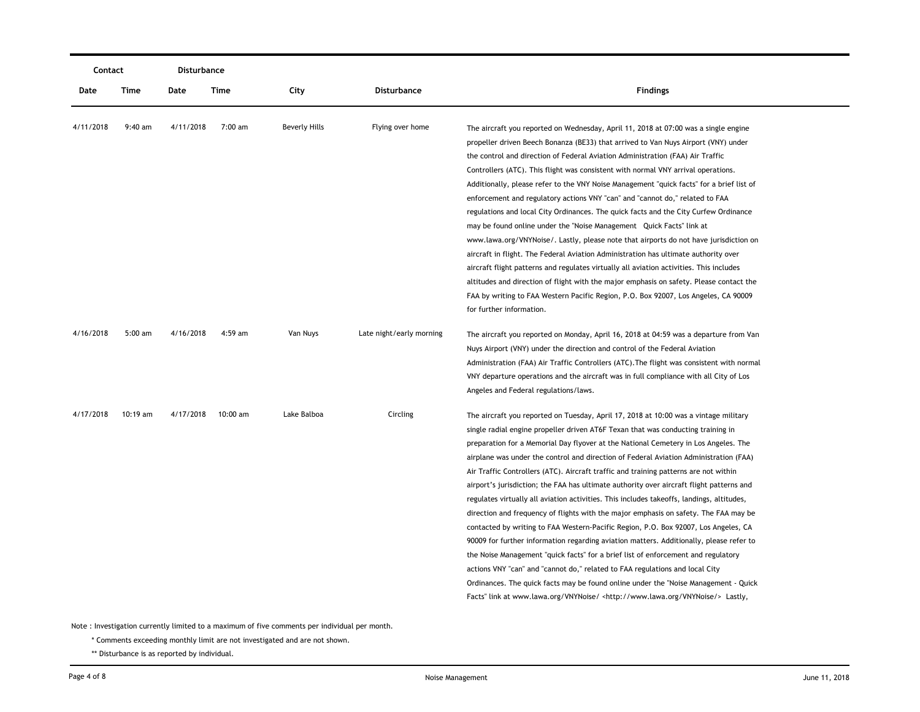| Contact   |           | Disturbance |          |                      |                          |                                                                                                                                                                                                                                                                                                                                                                                                                                                                                                                                                                                                                                                                                                                                                                                                                                                                                                                                                                                                                                                                                                                                                                                                                                                                              |
|-----------|-----------|-------------|----------|----------------------|--------------------------|------------------------------------------------------------------------------------------------------------------------------------------------------------------------------------------------------------------------------------------------------------------------------------------------------------------------------------------------------------------------------------------------------------------------------------------------------------------------------------------------------------------------------------------------------------------------------------------------------------------------------------------------------------------------------------------------------------------------------------------------------------------------------------------------------------------------------------------------------------------------------------------------------------------------------------------------------------------------------------------------------------------------------------------------------------------------------------------------------------------------------------------------------------------------------------------------------------------------------------------------------------------------------|
| Date      | Time      | Date        | Time     | City                 | Disturbance              | <b>Findings</b>                                                                                                                                                                                                                                                                                                                                                                                                                                                                                                                                                                                                                                                                                                                                                                                                                                                                                                                                                                                                                                                                                                                                                                                                                                                              |
| 4/11/2018 | $9:40$ am | 4/11/2018   | 7:00 am  | <b>Beverly Hills</b> | Flying over home         | The aircraft you reported on Wednesday, April 11, 2018 at 07:00 was a single engine<br>propeller driven Beech Bonanza (BE33) that arrived to Van Nuys Airport (VNY) under<br>the control and direction of Federal Aviation Administration (FAA) Air Traffic<br>Controllers (ATC). This flight was consistent with normal VNY arrival operations.<br>Additionally, please refer to the VNY Noise Management "quick facts" for a brief list of<br>enforcement and regulatory actions VNY "can" and "cannot do," related to FAA<br>regulations and local City Ordinances. The quick facts and the City Curfew Ordinance<br>may be found online under the "Noise Management Quick Facts" link at                                                                                                                                                                                                                                                                                                                                                                                                                                                                                                                                                                                 |
|           |           |             |          |                      |                          | www.lawa.org/VNYNoise/. Lastly, please note that airports do not have jurisdiction on<br>aircraft in flight. The Federal Aviation Administration has ultimate authority over<br>aircraft flight patterns and regulates virtually all aviation activities. This includes<br>altitudes and direction of flight with the major emphasis on safety. Please contact the<br>FAA by writing to FAA Western Pacific Region, P.O. Box 92007, Los Angeles, CA 90009<br>for further information.                                                                                                                                                                                                                                                                                                                                                                                                                                                                                                                                                                                                                                                                                                                                                                                        |
| 4/16/2018 | $5:00$ am | 4/16/2018   | 4:59 am  | Van Nuys             | Late night/early morning | The aircraft you reported on Monday, April 16, 2018 at 04:59 was a departure from Van<br>Nuys Airport (VNY) under the direction and control of the Federal Aviation<br>Administration (FAA) Air Traffic Controllers (ATC). The flight was consistent with normal<br>VNY departure operations and the aircraft was in full compliance with all City of Los<br>Angeles and Federal regulations/laws.                                                                                                                                                                                                                                                                                                                                                                                                                                                                                                                                                                                                                                                                                                                                                                                                                                                                           |
| 4/17/2018 | 10:19 am  | 4/17/2018   | 10:00 am | Lake Balboa          | Circling                 | The aircraft you reported on Tuesday, April 17, 2018 at 10:00 was a vintage military<br>single radial engine propeller driven AT6F Texan that was conducting training in<br>preparation for a Memorial Day flyover at the National Cemetery in Los Angeles. The<br>airplane was under the control and direction of Federal Aviation Administration (FAA)<br>Air Traffic Controllers (ATC). Aircraft traffic and training patterns are not within<br>airport's jurisdiction; the FAA has ultimate authority over aircraft flight patterns and<br>regulates virtually all aviation activities. This includes takeoffs, landings, altitudes,<br>direction and frequency of flights with the major emphasis on safety. The FAA may be<br>contacted by writing to FAA Western-Pacific Region, P.O. Box 92007, Los Angeles, CA<br>90009 for further information regarding aviation matters. Additionally, please refer to<br>the Noise Management "quick facts" for a brief list of enforcement and regulatory<br>actions VNY "can" and "cannot do," related to FAA regulations and local City<br>Ordinances. The quick facts may be found online under the "Noise Management - Quick<br>Facts" link at www.lawa.org/VNYNoise/ <http: vnynoise="" www.lawa.org=""></http:> Lastly, |

\* Comments exceeding monthly limit are not investigated and are not shown.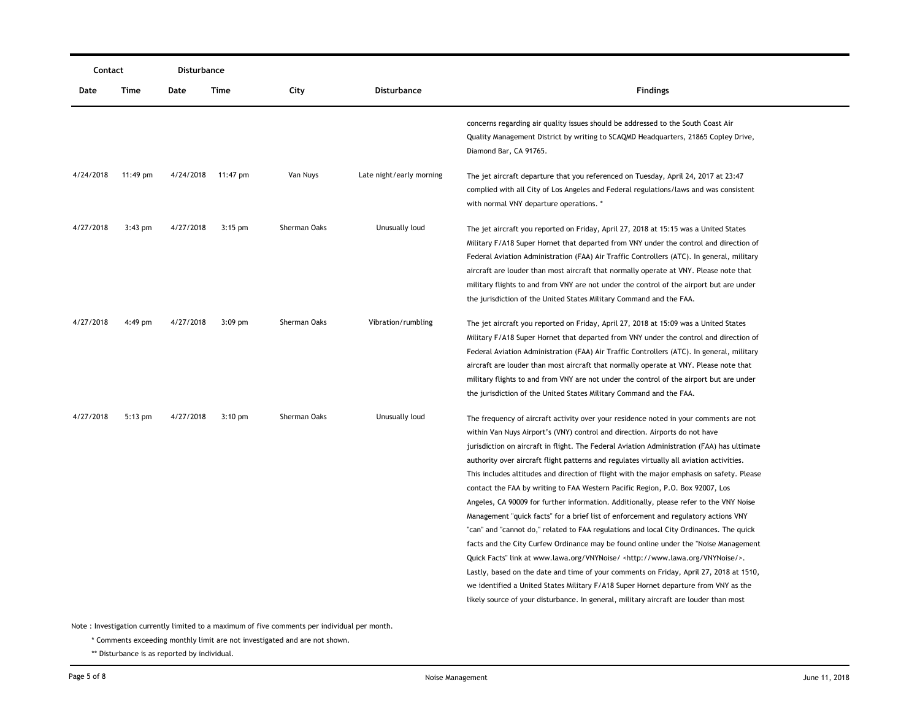| Contact   |           | Disturbance |                    |              |                          |                                                                                                                                                                                                                                                                                                                                                                                                                                                                                                                                                                                                                                                                                                                                                                                                                                                                                                                                                                                                                                                                                                                                                                                                                                                                                        |
|-----------|-----------|-------------|--------------------|--------------|--------------------------|----------------------------------------------------------------------------------------------------------------------------------------------------------------------------------------------------------------------------------------------------------------------------------------------------------------------------------------------------------------------------------------------------------------------------------------------------------------------------------------------------------------------------------------------------------------------------------------------------------------------------------------------------------------------------------------------------------------------------------------------------------------------------------------------------------------------------------------------------------------------------------------------------------------------------------------------------------------------------------------------------------------------------------------------------------------------------------------------------------------------------------------------------------------------------------------------------------------------------------------------------------------------------------------|
| Date      | Time      | Date        | Time               | City         | <b>Disturbance</b>       | Findings                                                                                                                                                                                                                                                                                                                                                                                                                                                                                                                                                                                                                                                                                                                                                                                                                                                                                                                                                                                                                                                                                                                                                                                                                                                                               |
|           |           |             |                    |              |                          | concerns regarding air quality issues should be addressed to the South Coast Air<br>Quality Management District by writing to SCAQMD Headquarters, 21865 Copley Drive,<br>Diamond Bar, CA 91765.                                                                                                                                                                                                                                                                                                                                                                                                                                                                                                                                                                                                                                                                                                                                                                                                                                                                                                                                                                                                                                                                                       |
| 4/24/2018 | 11:49 pm  |             | 4/24/2018 11:47 pm | Van Nuys     | Late night/early morning | The jet aircraft departure that you referenced on Tuesday, April 24, 2017 at 23:47<br>complied with all City of Los Angeles and Federal regulations/laws and was consistent<br>with normal VNY departure operations. *                                                                                                                                                                                                                                                                                                                                                                                                                                                                                                                                                                                                                                                                                                                                                                                                                                                                                                                                                                                                                                                                 |
| 4/27/2018 | $3:43$ pm | 4/27/2018   | $3:15$ pm          | Sherman Oaks | Unusually loud           | The jet aircraft you reported on Friday, April 27, 2018 at 15:15 was a United States<br>Military F/A18 Super Hornet that departed from VNY under the control and direction of<br>Federal Aviation Administration (FAA) Air Traffic Controllers (ATC). In general, military<br>aircraft are louder than most aircraft that normally operate at VNY. Please note that<br>military flights to and from VNY are not under the control of the airport but are under<br>the jurisdiction of the United States Military Command and the FAA.                                                                                                                                                                                                                                                                                                                                                                                                                                                                                                                                                                                                                                                                                                                                                  |
| 4/27/2018 | $4:49$ pm | 4/27/2018   | $3:09$ pm          | Sherman Oaks | Vibration/rumbling       | The jet aircraft you reported on Friday, April 27, 2018 at 15:09 was a United States<br>Military F/A18 Super Hornet that departed from VNY under the control and direction of<br>Federal Aviation Administration (FAA) Air Traffic Controllers (ATC). In general, military<br>aircraft are louder than most aircraft that normally operate at VNY. Please note that<br>military flights to and from VNY are not under the control of the airport but are under<br>the jurisdiction of the United States Military Command and the FAA.                                                                                                                                                                                                                                                                                                                                                                                                                                                                                                                                                                                                                                                                                                                                                  |
| 4/27/2018 | $5:13$ pm | 4/27/2018   | $3:10$ pm          | Sherman Oaks | Unusually loud           | The frequency of aircraft activity over your residence noted in your comments are not<br>within Van Nuys Airport's (VNY) control and direction. Airports do not have<br>jurisdiction on aircraft in flight. The Federal Aviation Administration (FAA) has ultimate<br>authority over aircraft flight patterns and regulates virtually all aviation activities.<br>This includes altitudes and direction of flight with the major emphasis on safety. Please<br>contact the FAA by writing to FAA Western Pacific Region, P.O. Box 92007, Los<br>Angeles, CA 90009 for further information. Additionally, please refer to the VNY Noise<br>Management "quick facts" for a brief list of enforcement and regulatory actions VNY<br>"can" and "cannot do," related to FAA regulations and local City Ordinances. The quick<br>facts and the City Curfew Ordinance may be found online under the "Noise Management"<br>Quick Facts" link at www.lawa.org/VNYNoise/ <http: vnynoise="" www.lawa.org=""></http:> .<br>Lastly, based on the date and time of your comments on Friday, April 27, 2018 at 1510,<br>we identified a United States Military F/A18 Super Hornet departure from VNY as the<br>likely source of your disturbance. In general, military aircraft are louder than most |

\* Comments exceeding monthly limit are not investigated and are not shown.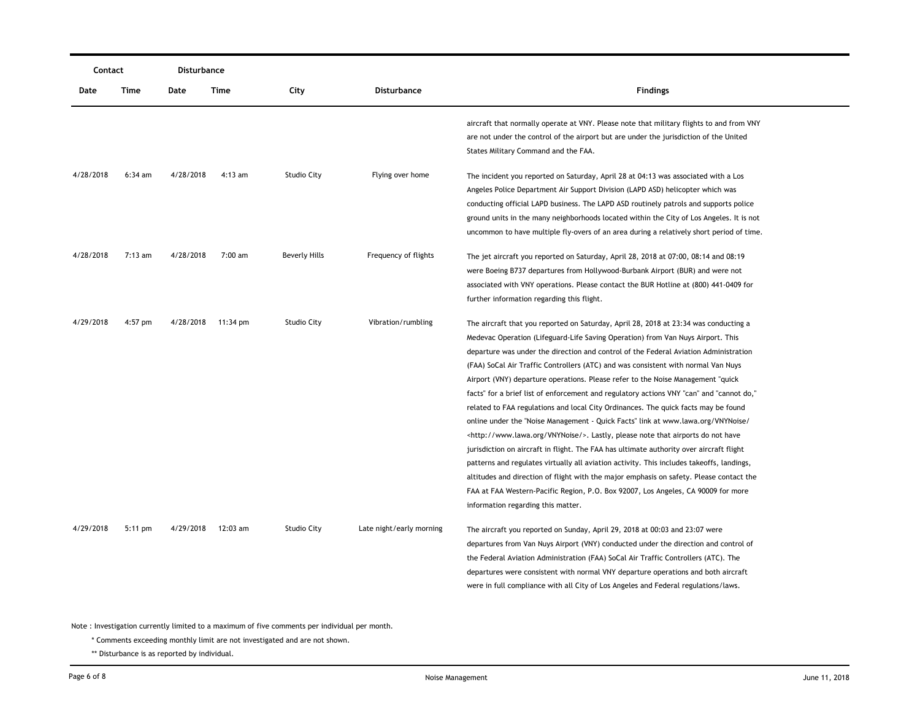| Contact   |           | Disturbance |           |                      |                          |                                                                                                                                                                                                                                                                                                                                                                                                                                                                                                                                                                                                                                                                                                                                                                                                                                                                                                                                                                                                                                                                                                                                                                                                                            |
|-----------|-----------|-------------|-----------|----------------------|--------------------------|----------------------------------------------------------------------------------------------------------------------------------------------------------------------------------------------------------------------------------------------------------------------------------------------------------------------------------------------------------------------------------------------------------------------------------------------------------------------------------------------------------------------------------------------------------------------------------------------------------------------------------------------------------------------------------------------------------------------------------------------------------------------------------------------------------------------------------------------------------------------------------------------------------------------------------------------------------------------------------------------------------------------------------------------------------------------------------------------------------------------------------------------------------------------------------------------------------------------------|
| Date      | Time      | Date        | Time      | City                 | <b>Disturbance</b>       | <b>Findings</b>                                                                                                                                                                                                                                                                                                                                                                                                                                                                                                                                                                                                                                                                                                                                                                                                                                                                                                                                                                                                                                                                                                                                                                                                            |
|           |           |             |           |                      |                          | aircraft that normally operate at VNY. Please note that military flights to and from VNY<br>are not under the control of the airport but are under the jurisdiction of the United<br>States Military Command and the FAA.                                                                                                                                                                                                                                                                                                                                                                                                                                                                                                                                                                                                                                                                                                                                                                                                                                                                                                                                                                                                  |
| 4/28/2018 | $6:34$ am | 4/28/2018   | $4:13$ am | <b>Studio City</b>   | Flying over home         | The incident you reported on Saturday, April 28 at 04:13 was associated with a Los<br>Angeles Police Department Air Support Division (LAPD ASD) helicopter which was<br>conducting official LAPD business. The LAPD ASD routinely patrols and supports police<br>ground units in the many neighborhoods located within the City of Los Angeles. It is not<br>uncommon to have multiple fly-overs of an area during a relatively short period of time.                                                                                                                                                                                                                                                                                                                                                                                                                                                                                                                                                                                                                                                                                                                                                                      |
| 4/28/2018 | $7:13$ am | 4/28/2018   | $7:00$ am | <b>Beverly Hills</b> | Frequency of flights     | The jet aircraft you reported on Saturday, April 28, 2018 at 07:00, 08:14 and 08:19<br>were Boeing B737 departures from Hollywood-Burbank Airport (BUR) and were not<br>associated with VNY operations. Please contact the BUR Hotline at (800) 441-0409 for<br>further information regarding this flight.                                                                                                                                                                                                                                                                                                                                                                                                                                                                                                                                                                                                                                                                                                                                                                                                                                                                                                                 |
| 4/29/2018 | 4:57 pm   | 4/28/2018   | 11:34 pm  | <b>Studio City</b>   | Vibration/rumbling       | The aircraft that you reported on Saturday, April 28, 2018 at 23:34 was conducting a<br>Medevac Operation (Lifeguard-Life Saving Operation) from Van Nuys Airport. This<br>departure was under the direction and control of the Federal Aviation Administration<br>(FAA) SoCal Air Traffic Controllers (ATC) and was consistent with normal Van Nuys<br>Airport (VNY) departure operations. Please refer to the Noise Management "quick<br>facts" for a brief list of enforcement and regulatory actions VNY "can" and "cannot do,"<br>related to FAA regulations and local City Ordinances. The quick facts may be found<br>online under the "Noise Management - Quick Facts" link at www.lawa.org/VNYNoise/<br><http: vnynoise="" www.lawa.org=""></http:> . Lastly, please note that airports do not have<br>jurisdiction on aircraft in flight. The FAA has ultimate authority over aircraft flight<br>patterns and regulates virtually all aviation activity. This includes takeoffs, landings,<br>altitudes and direction of flight with the major emphasis on safety. Please contact the<br>FAA at FAA Western-Pacific Region, P.O. Box 92007, Los Angeles, CA 90009 for more<br>information regarding this matter. |
| 4/29/2018 | $5:11$ pm | 4/29/2018   | 12:03 am  | <b>Studio City</b>   | Late night/early morning | The aircraft you reported on Sunday, April 29, 2018 at 00:03 and 23:07 were<br>departures from Van Nuys Airport (VNY) conducted under the direction and control of<br>the Federal Aviation Administration (FAA) SoCal Air Traffic Controllers (ATC). The<br>departures were consistent with normal VNY departure operations and both aircraft<br>were in full compliance with all City of Los Angeles and Federal regulations/laws.                                                                                                                                                                                                                                                                                                                                                                                                                                                                                                                                                                                                                                                                                                                                                                                        |

\* Comments exceeding monthly limit are not investigated and are not shown.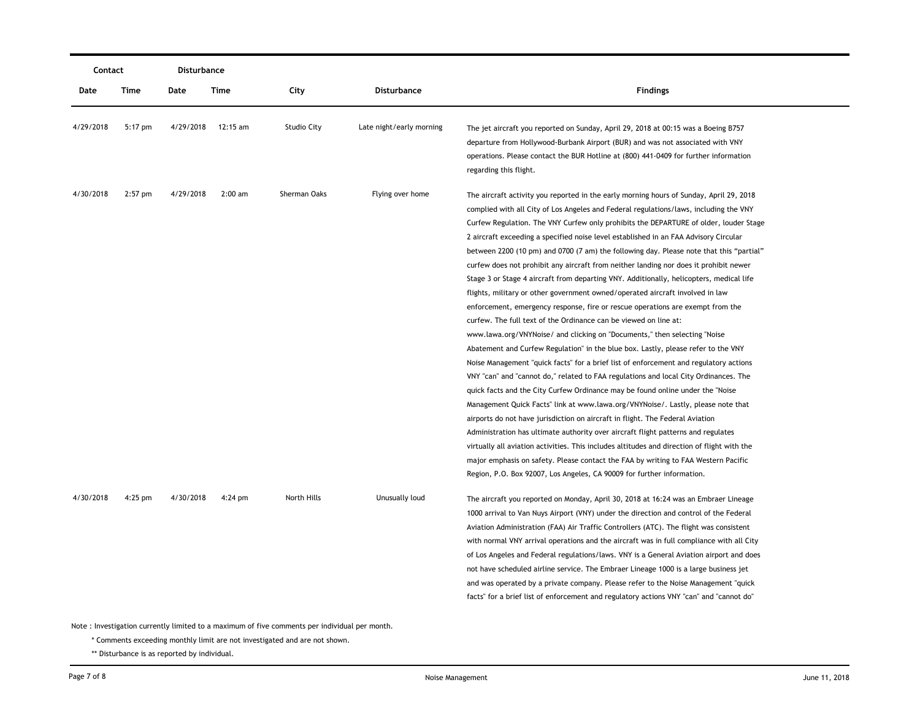| Contact   |           | Disturbance |           |                    |                          |                                                                                                                                                                                                                                                                                                                                                                                                                                                                                                                                                                                                                                                                                                                                                                                                                                                                                                                                                                                                                                                                                                                                                                                                                                                                                                                                                                                                                                                                                                                                                                                                                                                                                                                                                                                                                                                        |
|-----------|-----------|-------------|-----------|--------------------|--------------------------|--------------------------------------------------------------------------------------------------------------------------------------------------------------------------------------------------------------------------------------------------------------------------------------------------------------------------------------------------------------------------------------------------------------------------------------------------------------------------------------------------------------------------------------------------------------------------------------------------------------------------------------------------------------------------------------------------------------------------------------------------------------------------------------------------------------------------------------------------------------------------------------------------------------------------------------------------------------------------------------------------------------------------------------------------------------------------------------------------------------------------------------------------------------------------------------------------------------------------------------------------------------------------------------------------------------------------------------------------------------------------------------------------------------------------------------------------------------------------------------------------------------------------------------------------------------------------------------------------------------------------------------------------------------------------------------------------------------------------------------------------------------------------------------------------------------------------------------------------------|
| Date      | Time      | Date        | Time      | City               | Disturbance              | <b>Findings</b>                                                                                                                                                                                                                                                                                                                                                                                                                                                                                                                                                                                                                                                                                                                                                                                                                                                                                                                                                                                                                                                                                                                                                                                                                                                                                                                                                                                                                                                                                                                                                                                                                                                                                                                                                                                                                                        |
| 4/29/2018 | 5:17 pm   | 4/29/2018   | 12:15 am  | <b>Studio City</b> | Late night/early morning | The jet aircraft you reported on Sunday, April 29, 2018 at 00:15 was a Boeing B757<br>departure from Hollywood-Burbank Airport (BUR) and was not associated with VNY<br>operations. Please contact the BUR Hotline at (800) 441-0409 for further information<br>regarding this flight.                                                                                                                                                                                                                                                                                                                                                                                                                                                                                                                                                                                                                                                                                                                                                                                                                                                                                                                                                                                                                                                                                                                                                                                                                                                                                                                                                                                                                                                                                                                                                                 |
| 4/30/2018 | $2:57$ pm | 4/29/2018   | $2:00$ am | Sherman Oaks       | Flying over home         | The aircraft activity you reported in the early morning hours of Sunday, April 29, 2018<br>complied with all City of Los Angeles and Federal regulations/laws, including the VNY<br>Curfew Regulation. The VNY Curfew only prohibits the DEPARTURE of older, louder Stage<br>2 aircraft exceeding a specified noise level established in an FAA Advisory Circular<br>between 2200 (10 pm) and 0700 (7 am) the following day. Please note that this "partial"<br>curfew does not prohibit any aircraft from neither landing nor does it prohibit newer<br>Stage 3 or Stage 4 aircraft from departing VNY. Additionally, helicopters, medical life<br>flights, military or other government owned/operated aircraft involved in law<br>enforcement, emergency response, fire or rescue operations are exempt from the<br>curfew. The full text of the Ordinance can be viewed on line at:<br>www.lawa.org/VNYNoise/ and clicking on "Documents," then selecting "Noise<br>Abatement and Curfew Regulation" in the blue box. Lastly, please refer to the VNY<br>Noise Management "quick facts" for a brief list of enforcement and regulatory actions<br>VNY "can" and "cannot do," related to FAA regulations and local City Ordinances. The<br>quick facts and the City Curfew Ordinance may be found online under the "Noise"<br>Management Quick Facts" link at www.lawa.org/VNYNoise/. Lastly, please note that<br>airports do not have jurisdiction on aircraft in flight. The Federal Aviation<br>Administration has ultimate authority over aircraft flight patterns and regulates<br>virtually all aviation activities. This includes altitudes and direction of flight with the<br>major emphasis on safety. Please contact the FAA by writing to FAA Western Pacific<br>Region, P.O. Box 92007, Los Angeles, CA 90009 for further information. |
| 4/30/2018 | $4:25$ pm | 4/30/2018   | $4:24$ pm | North Hills        | Unusually loud           | The aircraft you reported on Monday, April 30, 2018 at 16:24 was an Embraer Lineage<br>1000 arrival to Van Nuys Airport (VNY) under the direction and control of the Federal<br>Aviation Administration (FAA) Air Traffic Controllers (ATC). The flight was consistent<br>with normal VNY arrival operations and the aircraft was in full compliance with all City<br>of Los Angeles and Federal regulations/laws. VNY is a General Aviation airport and does<br>not have scheduled airline service. The Embraer Lineage 1000 is a large business jet<br>and was operated by a private company. Please refer to the Noise Management "quick<br>facts" for a brief list of enforcement and regulatory actions VNY "can" and "cannot do"                                                                                                                                                                                                                                                                                                                                                                                                                                                                                                                                                                                                                                                                                                                                                                                                                                                                                                                                                                                                                                                                                                                 |

\* Comments exceeding monthly limit are not investigated and are not shown.